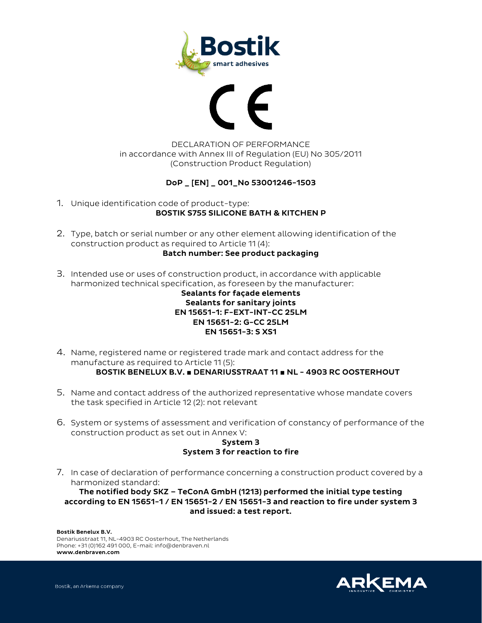



## DECLARATION OF PERFORMANCE in accordance with Annex III of Regulation (EU) No 305/2011 (Construction Product Regulation)

## DoP \_ [EN] \_ 001\_No 53001246-1503

- 1. Unique identification code of product-type: BOSTIK S755 SILICONE BATH & KITCHEN P
- 2. Type, batch or serial number or any other element allowing identification of the construction product as required to Article 11 (4): Batch number: See product packaging
- 3. Intended use or uses of construction product, in accordance with applicable harmonized technical specification, as foreseen by the manufacturer:

## Sealants for façade elements Sealants for sanitary joints EN 15651-1: F-EXT-INT-CC 25LM EN 15651-2: G-CC 25LM EN 15651-3: S XS1

- 4. Name, registered name or registered trade mark and contact address for the manufacture as required to Article 11 (5): BOSTIK BENELUX B.V. **■** DENARIUSSTRAAT 11 **■** NL - 4903 RC OOSTERHOUT
- 5. Name and contact address of the authorized representative whose mandate covers the task specified in Article 12 (2): not relevant
- 6. System or systems of assessment and verification of constancy of performance of the construction product as set out in Annex V:

## System 3 System 3 for reaction to fire

7. In case of declaration of performance concerning a construction product covered by a harmonized standard:

The notified body SKZ – TeConA GmbH (1213) performed the initial type testing according to EN 15651-1 / EN 15651-2 / EN 15651-3 and reaction to fire under system 3 and issued: a test report.

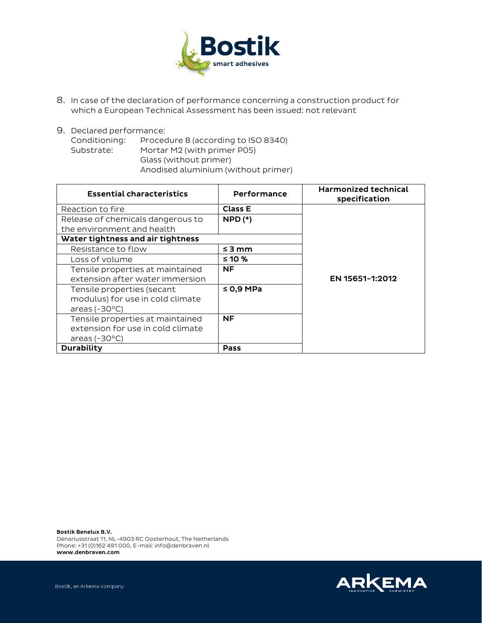

- 8. In case of the declaration of performance concerning a construction product for which a European Technical Assessment has been issued: not relevant
- 9. Declared performance: Conditioning: Procedure B (according to ISO 8340) Substrate: Mortar M2 (with primer P05) Glass (without primer) Anodised aluminium (without primer)

| <b>Essential characteristics</b>  | Performance    | <b>Harmonized technical</b><br>specification |
|-----------------------------------|----------------|----------------------------------------------|
| Reaction to fire                  | <b>Class E</b> |                                              |
| Release of chemicals dangerous to | $NPD(*)$       |                                              |
| the environment and health        |                |                                              |
| Water tightness and air tightness |                |                                              |
| Resistance to flow                | $\leq$ 3 mm    |                                              |
| Loss of volume                    | $≤ 10 %$       |                                              |
| Tensile properties at maintained  | <b>NF</b>      |                                              |
| extension after water immersion   |                | EN 15651-1:2012                              |
| Tensile properties (secant        | $\leq$ 0,9 MPa |                                              |
| modulus) for use in cold climate  |                |                                              |
| areas $(-30^{\circ}C)$            |                |                                              |
| Tensile properties at maintained  | <b>NF</b>      |                                              |
| extension for use in cold climate |                |                                              |
| areas $(-30^{\circ}C)$            |                |                                              |
| <b>Durability</b>                 | Pass           |                                              |

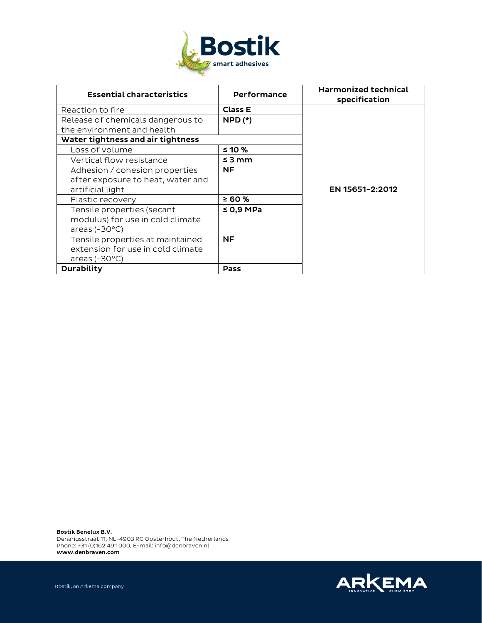

| <b>Essential characteristics</b>  | Performance    | <b>Harmonized technical</b><br>specification |
|-----------------------------------|----------------|----------------------------------------------|
| Reaction to fire                  | <b>Class E</b> |                                              |
| Release of chemicals dangerous to | $NPD$ $(*)$    |                                              |
| the environment and health        |                |                                              |
| Water tightness and air tightness |                |                                              |
| Loss of volume                    | ≤ 10 %         |                                              |
| Vertical flow resistance          | $\leq$ 3 mm    |                                              |
| Adhesion / cohesion properties    | NF.            |                                              |
| after exposure to heat, water and |                |                                              |
| artificial light                  |                | EN 15651-2:2012                              |
| Elastic recovery                  | ≥ 60 %         |                                              |
| Tensile properties (secant        | $\leq$ 0.9 MPa |                                              |
| modulus) for use in cold climate  |                |                                              |
| areas $(-30^{\circ}C)$            |                |                                              |
| Tensile properties at maintained  | <b>NF</b>      |                                              |
| extension for use in cold climate |                |                                              |
| areas $(-30^{\circ}C)$            |                |                                              |
| Durability                        | Pass           |                                              |